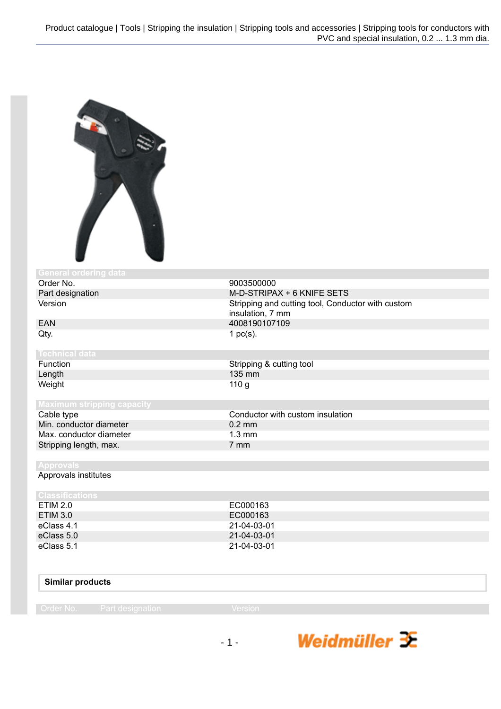

| <b>General ordering data</b>      |                                                                       |
|-----------------------------------|-----------------------------------------------------------------------|
| Order No.                         | 9003500000                                                            |
| Part designation                  | M-D-STRIPAX + 6 KNIFE SETS                                            |
| Version                           | Stripping and cutting tool, Conductor with custom<br>insulation, 7 mm |
| <b>EAN</b>                        | 4008190107109                                                         |
| Qty.                              | 1 $pc(s)$ .                                                           |
| <b>Technical data</b>             |                                                                       |
| Function                          | Stripping & cutting tool                                              |
| Length                            | 135 mm                                                                |
| Weight                            | 110 <sub>g</sub>                                                      |
| <b>Maximum stripping capacity</b> |                                                                       |
| Cable type                        | Conductor with custom insulation                                      |
| Min. conductor diameter           | $0.2$ mm                                                              |
| Max. conductor diameter           | $1.3 \text{ mm}$                                                      |
| Stripping length, max.            | 7 mm                                                                  |
|                                   |                                                                       |
| <b>Approvals</b>                  |                                                                       |
| Approvals institutes              |                                                                       |
| <b>Classifications</b>            |                                                                       |
| <b>ETIM 2.0</b>                   | EC000163                                                              |
| <b>ETIM 3.0</b>                   | EC000163                                                              |
| eClass 4.1                        | 21-04-03-01                                                           |
| eClass 5.0                        | 21-04-03-01                                                           |
| eClass 5.1                        | 21-04-03-01                                                           |

## **Similar products**